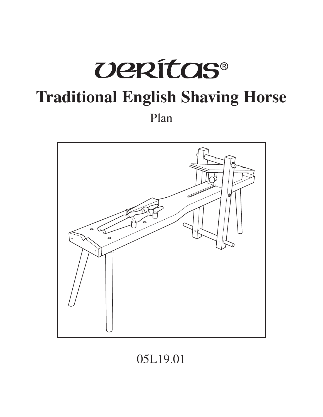# **UERÍTAS® Traditional English Shaving Horse** Plan



# 05L19.01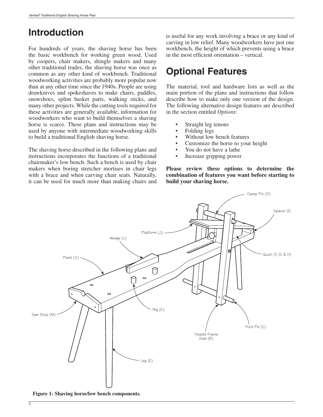# **Introduction**

For hundreds of years, the shaving horse has been the basic workbench for working green wood. Used by coopers, chair makers, shingle makers and many other traditional trades, the shaving horse was once as common as any other kind of workbench. Traditional woodworking activities are probably more popular now than at any other time since the 1940s. People are using drawknives and spokeshaves to make chairs, paddles, snowshoes, splint basket parts, walking sticks, and many other projects. While the cutting tools required for these activities are generally available, information for woodworkers who want to build themselves a shaving horse is scarce. These plans and instructions may be used by anyone with intermediate woodworking skills to build a traditional English shaving horse.

The shaving horse described in the following plans and instructions incorporates the functions of a traditional chairmaker's low bench. Such a bench is used by chair makers when boring stretcher mortises in chair legs with a brace and when carving chair seats. Naturally, it can be used for much more than making chairs and is useful for any work involving a brace or any kind of carving in low relief. Many woodworkers have just one workbench, the height of which prevents using a brace in the most efficient orientation  $-$  vertical.

# **Optional Features**

The material, tool and hardware lists as well as the main portion of the plans and instructions that follow describe how to make only one version of the design. The following alternative design features are described in the section entitled *Options*:

- Straight leg tenons
- Folding legs
- Without low bench features
- Customize the horse to your height
- You do not have a lathe
- Increase gripping power

**Please review these options to determine the combination of features you want before starting to build your shaving horse.**



**Figure 1: Shaving horse/low bench components.**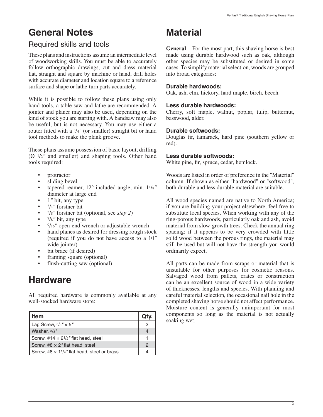# **General Notes**

## Required skills and tools

These plans and instructions assume an intermediate level of woodworking skills. You must be able to accurately follow orthographic drawings, cut and dress material flat, straight and square by machine or hand, drill holes with accurate diameter and location square to a reference surface and shape or lathe-turn parts accurately.

While it is possible to follow these plans using only hand tools, a table saw and lathe are recommended. A jointer and planer may also be used, depending on the kind of stock you are starting with. A bandsaw may also be useful, but is not necessary. You may use either a router fitted with a 3/4" (or smaller) straight bit or hand tool methods to make the plank groove.

These plans assume possession of basic layout, drilling (Ø 1/2*"* and smaller) and shaping tools. Other hand tools required:

- protractor
- sliding bevel
- tapered reamer, 12° included angle, min. 11/8*"* diameter at large end
- 1*"* bit, any type
- 3/4*"* forstner bit
- 5/8*"* forstner bit (optional, see *step 2*)
- 7/8*"* bit, any type
- <sup>9</sup>/<sub>16</sub>" open-end wrench or adjustable wrench
- hand planes as desired for dressing rough stock (required if you do not have access to a 10*"* wide jointer)
- bit brace (if desired)
- framing square (optional)
- flush-cutting saw (optional)

# **Hardware**

All required hardware is commonly available at any well-stocked hardware store:

| <b>Item</b>                                                                  | Qty.          | components<br>soaking wet. |
|------------------------------------------------------------------------------|---------------|----------------------------|
| Lag Screw, $\frac{3}{8}$ " $\times$ 5"                                       | 2             |                            |
| Washer, 3/8"                                                                 |               |                            |
| Screw, #14 $\times$ 2 <sup>1</sup> / <sub>2</sub> " flat head, steel         |               |                            |
| Screw, #8 $\times$ 2" flat head, steel                                       | $\mathcal{P}$ |                            |
| Screw, #8 $\times$ 1 <sup>1</sup> / <sub>4</sub> " flat head, steel or brass |               |                            |

# **Material**

**General** – For the most part, this shaving horse is best made using durable hardwood such as oak, although other species may be substituted or desired in some cases. To simplify material selection, woods are grouped into broad categories:

#### **Durable hardwoods:**

Oak, ash, elm, hickory, hard maple, birch, beech.

#### **Less durable hardwoods:**

Cherry, soft maple, walnut, poplar, tulip, butternut, basswood, alder.

#### **Durable softwoods:**

Douglas fir, tamarack, hard pine (southern yellow or red).

#### **Less durable softwoods:**

White pine, fir, spruce, cedar, hemlock.

Woods are listed in order of preference in the "Material" column. If shown as either "hardwood" or "softwood", both durable and less durable material are suitable.

All wood species named are native to North America; if you are building your project elsewhere, feel free to substitute local species. When working with any of the ring-porous hardwoods, particularly oak and ash, avoid material from slow-growth trees. Check the annual ring spacing; if it appears to be very crowded with little solid wood between the porous rings, the material may still be used but will not have the strength you would ordinarily expect.

All parts can be made from scraps or material that is unsuitable for other purposes for cosmetic reasons. Salvaged wood from pallets, crates or construction can be an excellent source of wood in a wide variety of thicknesses, lengths and species. With planning and careful material selection, the occasional nail hole in the completed shaving horse should not affect performance. Moisture content is generally unimportant for most components so long as the material is not actually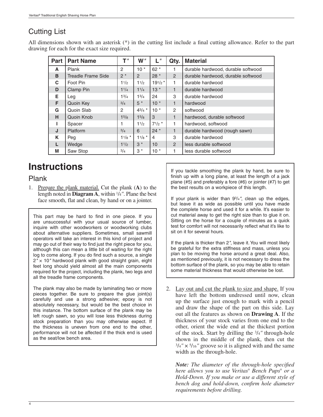## Cutting List

All dimensions shown with an asterisk  $(*)$  in the cutting list include a final cutting allowance. Refer to the part drawing for each for the exact size required.

| Part | <b>Part Name</b>          | $\mathsf T$ " | W''            | L"          | Qty.           | <b>Material</b>                    |
|------|---------------------------|---------------|----------------|-------------|----------------|------------------------------------|
| A    | Plank                     | 2             | $10*$          | $62*$       | 1              | durable hardwood, durable softwood |
| B    | <b>Treadle Frame Side</b> | $2*$          | $\overline{2}$ | $28*$       | $\overline{2}$ | durable hardwood, durable softwood |
| C    | Foot Pin                  | 11/2          | 11/2           | $19^{1/2}$  | 1              | durable hardwood                   |
| D    | Clamp Pin                 | $1^{1/4}$     | $1^{1/4}$      | $13*$       | $\mathbf{1}$   | durable hardwood                   |
| E.   | Leg                       | $1^{3/4}$     | $1^{3/4}$      | 24          | 3              | durable hardwood                   |
| F    | Quoin Key                 | 3/4           | $5*$           | $10*$       | $\mathbf{1}$   | hardwood                           |
| G    | Quoin Slab                | 2             | $4^{3}/4$ *    | $10*$       | 2              | softwood                           |
| H    | Quoin Knob                | 15/8          | 15/8           | 3           | $\mathbf{1}$   | hardwood, durable softwood         |
| Ш    | Spacer                    | 1             | 11/2           | $7^{1/2}$ * | 1.             | hardwood, softwood                 |
| J    | Platform                  | 3/4           | 6              | $24 *$      | $\mathbf{1}$   | durable hardwood (rough sawn)      |
| K    | Peg                       | $11/8$ *      | $11/8$ *       | 4           | 3              | durable hardwood                   |
| L    | Wedge                     | 11/2          | $3 *$          | 10          | $\mathcal{P}$  | less durable softwood              |
| M    | Saw Stop                  | 3/4           | $3 *$          | $10*$       | 1              | less durable softwood              |

# **Instructions**

### Plank

1. Prepare the plank material. Cut the plank (**A**) to the length noted in **Diagram A**, within 1/4*"*. Plane the best face smooth, flat and clean, by hand or on a jointer.

This part may be hard to find in one piece. If you are unsuccessful with your usual source of lumber, inquire with other woodworkers or woodworking clubs about alternative suppliers. Sometimes, small sawmill operators will take an interest in this kind of project and may go out of their way to find just the right piece for you, although this can mean a little bit of waiting for the right log to come along. If you do find such a source, a single 2*"* × 10*"* hardwood plank with good straight grain, eight feet long should yield almost all the main components required for the project, including the plank, two legs and all the treadle frame components.

The plank may also be made by laminating two or more pieces together. Be sure to prepare the glue joint(s) carefully and use a strong adhesive; epoxy is not absolutely necessary, but would be the best choice in this instance. The bottom surface of the plank may be left rough sawn, so you will lose less thickness during stock preparation than you may otherwise expect. If the thickness is uneven from one end to the other, performance will not be affected if the thick end is used as the seat/low bench area.

If you tackle smoothing the plank by hand, be sure to finish up with a long plane, at least the length of a jack plane (#5) and preferably a fore (#6) or jointer (#7) to get the best results on a workpiece of this length.

If your plank is wider than 93/4*"*, clean up the edges, but leave it as wide as possible until you have made the complete horse and used it for a while. It's easier to cut material away to get the right size than to glue it on. Sitting on the horse for a couple of minutes as a quick test for comfort will not necessarily reflect what it's like to sit on it for several hours.

If the plank is thicker than 2*"*, leave it. You will most likely be grateful for the extra stiffness and mass, unless you plan to be moving the horse around a great deal. Also, as mentioned previously, it is not necessary to dress the bottom surface of the plank, so you may be able to retain some material thickness that would otherwise be lost.

2. Lay out and cut the plank to size and shape. If you have left the bottom undressed until now, clean up the surface just enough to mark with a pencil and draw the shape of the part on this side. Lay out all the features as shown on **Drawing A**. If the thickness of your stock varies from one end to the other, orient the wide end at the thickest portion of the stock. Start by drilling the 3/4*"* through-hole shown in the middle of the plank, then cut the  $\frac{3}{4}$ "  $\times$   $\frac{5}{16}$ " groove so it is aligned with and the same width as the through-hole.

*Note: The diameter of the through-hole specified here allows you to use Veritas*®  *Bench Pups*®  *or a Hold-Down. If you make or use a different style of*  bench dog and hold-down, confirm hole diameter *requirements before drilling.*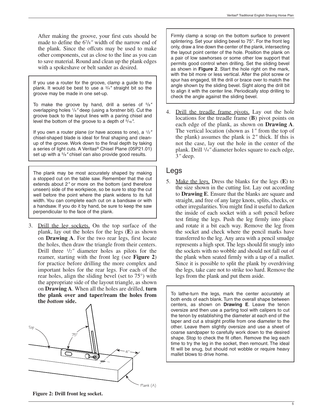If you use a router for the groove, clamp a guide to the plank. It would be best to use a 3/4*"* straight bit so the groove may be made in one set-up.

To make the groove by hand, drill a series of 5/8*"* overlapping holes 1/4*"* deep (using a forstner bit). Cut the groove back to the layout lines with a paring chisel and level the bottom of the groove to a depth of 5/16*"*.

If you own a router plane (or have access to one), a 1/2*"* chisel-shaped blade is ideal for final shaping and cleanup of the groove. Work down to the final depth by taking a series of light cuts. A Veritas® Chisel Plane (05P21.01) set up with a 5/8*"* chisel can also provide good results.

The plank may be most accurately shaped by making a stopped cut on the table saw. Remember that the cut extends about 2*"* or more on the bottom (and therefore unseen) side of the workpiece, so be sure to stop the cut well before the point where the plank widens to its full width. You can complete each cut on a bandsaw or with a handsaw. If you do it by hand, be sure to keep the saw perpendicular to the face of the plank.

3. Drill the leg sockets. On the top surface of the plank, lay out the holes for the legs (**E**) as shown on **Drawing A**. For the two rear legs, first locate the holes, then draw the triangle from their centers. Drill three 1/2*"* diameter holes as pilots for the reamer, starting with the front leg (see **Figure 2**) for practice before drilling the more complex and important holes for the rear legs. For each of the rear holes, align the sliding bevel (set to 75°) with the appropriate side of the layout triangle, as shown on **Drawing A**. When all the holes are drilled, **turn the plank over and taper/ream the holes from the** *bottom* **side.**



Veritas® Traditional English Shaving Horse Plan

Firmly clamp a scrap on the bottom surface to prevent splintering. Set your sliding bevel to 75°. For the front leg only, draw a line down the center of the plank, intersecting the layout point center of the hole. Position the plank on a pair of low sawhorses or some other low support that permits good control when drilling. Set the sliding bevel as shown in **Figure 2**. Start the hole right on the mark, with the bit more or less vertical. After the pilot screw or spur has engaged, tilt the drill or brace over to match the angle shown by the sliding bevel. Sight along the drill bit to align it with the center line. Periodically stop drilling to check the angle against the sliding bevel.

4. Drill the treadle frame pivots. Lay out the hole locations for the treadle frame (**B**) pivot points on each edge of the plank, as shown on **Drawing A**. The vertical location (shown as 1*"* from the top of the plank) assumes the plank is 2*"* thick. If this is not the case, lay out the hole in the center of the plank. Drill 1/4*"* diameter holes square to each edge, 3*"* deep.

#### Legs

5. Make the legs. Dress the blanks for the legs (**E**) to the size shown in the cutting list. Lay out according to **Drawing E**. Ensure that the blanks are square and straight, and free of any large knots, splits, checks, or other irregularities. You might find it useful to darken the inside of each socket with a soft pencil before test fitting the legs. Push the leg firmly into place and rotate it a bit each way. Remove the leg from the socket and check where the pencil marks have transferred to the leg. Any area with a pencil smudge represents a high spot. The legs should fit snugly into the sockets with no wobble and should not fall out of the plank when seated firmly with a tap of a mallet. Since it is possible to split the plank by overdriving the legs, take care not to strike too hard. Remove the legs from the plank and put them aside.

To lathe-turn the legs, mark the center accurately at both ends of each blank. Turn the overall shape between centers, as shown on **Drawing E**. Leave the tenon oversize and then use a parting tool with calipers to cut the tenon by establishing the diameter at each end of the taper and cut a straight profile from one diameter to the other. Leave them slightly oversize and use a sheet of coarse sandpaper to carefully work down to the desired shape. Stop to check the fit often. Remove the leg each time to try the leg in the socket, then remount. The ideal fit will be snug, but should not wobble or require heavy mallet blows to drive home.

**Figure 2: Drill front leg socket.**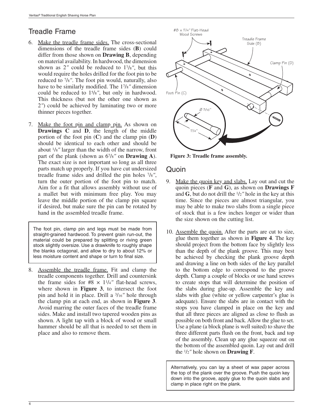## Treadle Frame

- 6. Make the treadle frame sides. The cross-sectional dimensions of the treadle frame sides (**B**) could differ from those shown on **Drawing B**, depending on material availability. In hardwood, the dimension shown as 2*"* could be reduced to 17/8*"*, but this would require the holes drilled for the foot pin to be reduced to 7/8*"*. The foot pin would, naturally, also have to be similarly modified. The 17/8*"* dimension could be reduced to 15/8*"*, but only in hardwood. This thickness (but not the other one shown as 2*"*) could be achieved by laminating two or more thinner pieces together.
- 7. Make the foot pin and clamp pin. As shown on **Drawings C** and **D**, the length of the middle portion of the foot pin (**C**) and the clamp pin (**D**) should be identical to each other and should be about 1/8*"* larger than the width of the narrow, front part of the plank (shown as 67/8*"* on **Drawing A**). The exact size is not important so long as all three parts match up properly. If you have cut undersized treadle frame sides and drilled the pin holes 7/8*"*, turn the outer portion of the foot pin to match. Aim for a fit that allows assembly without use of a mallet but with minimum free play. You may leave the middle portion of the clamp pin square if desired, but make sure the pin can be rotated by hand in the assembled treadle frame.

The foot pin, clamp pin and legs must be made from straight-grained hardwood. To prevent grain run-out, the material could be prepared by splitting or riving green stock slightly oversize. Use a drawknife to roughly shape the blanks octagonal, and allow to dry to about 12% or less moisture content and shape or turn to final size.

8. Assemble the treadle frame. Fit and clamp the treadle components together. Drill and countersink the frame sides for  $#8 \times 1^{1/4}$  flat-head screws, where shown in **Figure 3**, to intersect the foot pin and hold it in place. Drill a 3/16*"* hole through the clamp pin at each end, as shown in **Figure 3**. Avoid marring the outer faces of the treadle frame sides. Make and install two tapered wooden pins as shown. A light tap with a block of wood or small hammer should be all that is needed to set them in place and also to remove them.



**Figure 3: Treadle frame assembly.**

#### Quoin

- 9. Make the quoin key and slabs. Lay out and cut the quoin pieces (**F** and **G**), as shown on **Drawings F** and **G**, but do not drill the 1/2*"* hole in the key at this time. Since the pieces are almost triangular, you may be able to make two slabs from a single piece of stock that is a few inches longer or wider than the size shown on the cutting list.
- 10. Assemble the quoin. After the parts are cut to size, glue them together as shown in **Figure 4**. The key should project from the bottom face by slightly less than the depth of the plank groove. This may best be achieved by checking the plank groove depth and drawing a line on both sides of the key parallel to the bottom edge to correspond to the groove depth. Clamp a couple of blocks or use hand screws to create stops that will determine the position of the slabs during glue-up. Assemble the key and slabs with glue (white or yellow carpenter's glue is adequate). Ensure the slabs are in contact with the stops you have clamped in place on the key and that all three pieces are aligned as close to flush as possible on both front and back. Allow the glue to set. Use a plane (a block plane is well suited) to shave the three different parts flush on the front, back and top of the assembly. Clean up any glue squeeze out on the bottom of the assembled quoin. Lay out and drill the 1/2*"* hole shown on **Drawing F**.

Alternatively, you can lay a sheet of wax paper across the top of the plank over the groove. Push the quoin key down into the groove, apply glue to the quoin slabs and clamp in place right on the plank.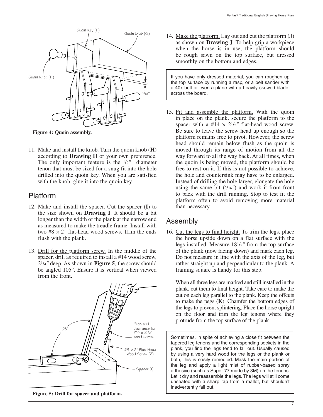

**Figure 4: Quoin assembly.**

11. Make and install the knob. Turn the quoin knob (**H**) according to **Drawing H** or your own preference. The only important feature is the 1/2*"* diameter tenon that must be sized for a snug fit into the hole drilled into the quoin key. When you are satisfied with the knob, glue it into the quoin key.

## Platform

- 12. Make and install the spacer. Cut the spacer (**I**) to the size shown on **Drawing I**. It should be a bit longer than the width of the plank at the narrow end as measured to make the treadle frame. Install with two #8 × 2*"* flat-head wood screws. Trim the ends flush with the plank.
- 13. Drill for the platform screw. In the middle of the spacer, drill as required to install a #14 wood screw, 21/4*"* deep. As shown in **Figure 5**, the screw should be angled 105°. Ensure it is vertical when viewed from the front.



**Figure 5: Drill for spacer and platform.**

14. Make the platform. Lay out and cut the platform (**J**) as shown on **Drawing J**. To help grip a workpiece when the horse is in use, the platform should be rough sawn on the top surface, but dressed smoothly on the bottom and edges.

If you have only dressed material, you can roughen up the top surface by running a rasp, or a belt sander with a 40x belt or even a plane with a heavily skewed blade, across the board.

15. Fit and assemble the platform. With the quoin in place on the plank, secure the platform to the spacer with a  $#14 \times 2^{1/2}$  flat-head wood screw. Be sure to leave the screw head up enough so the platform remains free to pivot. However, the screw head should remain below flush as the quoin is moved through its range of motion from all the way forward to all the way back. At all times, when the quoin is being moved, the platform should be free to rest on it. If this is not possible to achieve, the hole and countersink may have to be enlarged. Instead of drilling the hole larger, elongate the hole using the same bit  $(5/16'')$  and work it from front to back with the drill running. Stop to test fit the platform often to avoid removing more material than necessary.

## Assembly

16. Cut the legs to final height. To trim the legs, place the horse upside down on a flat surface with the legs installed. Measure 181/2*"* from the top surface of the plank (now facing down) and mark each leg. Do not measure in line with the axis of the leg, but rather straight up and perpendicular to the plank. A framing square is handy for this step.

 When all three legs are marked and still installed in the plank, cut them to final height. Take care to make the cut on each leg parallel to the plank. Keep the offcuts to make the pegs (**K**). Chamfer the bottom edges of the legs to prevent splintering. Place the horse upright on the floor and trim the leg tenons where they protrude from the top surface of the plank.

Sometimes, in spite of achieving a close fit between the tapered leg tenons and the corresponding sockets in the plank, you find the legs tend to fall out. Usually caused by using a very hard wood for the legs or the plank or both, this is easily remedied. Mask the main portion of the leg and apply a light mist of rubber-based spray adhesive (such as Super 77 made by 3M) on the tenons. Let it dry and reassemble the legs. The legs will still come unseated with a sharp rap from a mallet, but shouldn't inadvertently fall out.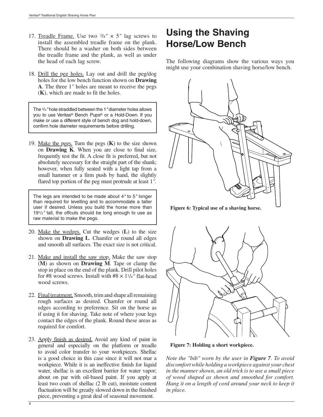- 17. Treadle Frame. Use two  $\frac{3}{8}$ "  $\times$  5" lag screws to install the assembled treadle frame on the plank. There should be a washer on both sides between the treadle frame and the plank, as well as under the head of each lag screw.
- 18. Drill the peg holes. Lay out and drill the peg/dog holes for the low bench function shown on **Drawing A**. The three 1*"* holes are meant to receive the pegs (**K**), which are made to fit the holes.

The 3/4*"* hole straddled between the 1*"* diameter holes allows you to use Veritas® Bench Pups® or a Hold-Down. If you make or use a different style of bench dog and hold-down, confirm hole diameter requirements before drilling.

19. Make the pegs. Turn the pegs (**K**) to the size shown on **Drawing K**. When you are close to final size, frequently test the fit. A close fit is preferred, but not absolutely necessary for the straight part of the shank; however, when fully seated with a light tap from a small hammer or a firm push by hand, the slightly flared top portion of the peg must protrude at least 1*"*.

The legs are intended to be made about 4*"* to 5*"* longer than required for levelling and to accommodate a taller user if desired. Unless you build the horse more than 191/2*"* tall, the offcuts should be long enough to use as raw material to make the pegs.

- 20. Make the wedges. Cut the wedges (**L**) to the size shown on **Drawing L**. Chamfer or round all edges and smooth all surfaces. The exact size is not critical.
- 21. Make and install the saw stop. Make the saw stop (**M**) as shown on **Drawing M**. Tape or clamp the stop in place on the end of the plank. Drill pilot holes for #8 wood screws. Install with  $#8 \times 1^{1/4}$ <sup>"</sup> flat-head wood screws.
- 22. Final treatment. Smooth, trim and shape all remaining rough surfaces as desired. Chamfer or round all edges according to preference. Sit on the horse as if using it for shaving. Take note of where your legs contact the edges of the plank. Round these areas as required for comfort.
- 23. Apply finish as desired. Avoid any kind of paint in general and especially on the platform or treadle to avoid color transfer to your workpieces. Shellac is a good choice in this case since it will not mar a workpiece. While it is an ineffective finish for liquid water, shellac is an excellent barrier for water vapor; about on par with oil-based paint. If you apply at least two coats of shellac (2 lb cut), moisture content fluctuation will be greatly slowed down in the finished piece, preventing a great deal of seasonal movement.

# **Using the Shaving Horse/Low Bench**

The following diagrams show the various ways you might use your combination shaving horse/low bench.



**Figure 6: Typical use of a shaving horse.**



**Figure 7: Holding a short workpiece.**

*Note the "bib" worn by the user in Figure 7. To avoid discomfort while holding a workpiece against your chest in the manner shown, an old trick is to use a small piece of wood shaped as shown and smoothed for comfort. Hang it on a length of cord around your neck to keep it in place.*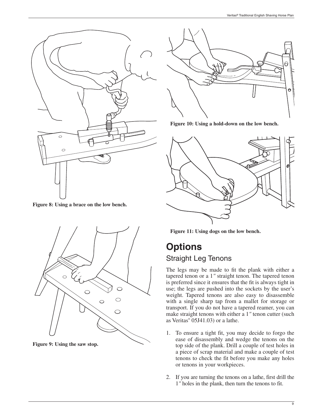

**Figure 8: Using a brace on the low bench.**



**Figure 9: Using the saw stop.**



**Figure 10: Using a hold-down on the low bench.**



**Figure 11: Using dogs on the low bench.**

# **Options** Straight Leg Tenons

The legs may be made to fit the plank with either a tapered tenon or a 1*"* straight tenon. The tapered tenon is preferred since it ensures that the fit is always tight in use; the legs are pushed into the sockets by the user's weight. Tapered tenons are also easy to disassemble with a single sharp tap from a mallet for storage or transport. If you do not have a tapered reamer, you can make straight tenons with either a 1*"* tenon cutter (such as Veritas® 05J41.03) or a lathe.

- 1. To ensure a tight fit, you may decide to forgo the ease of disassembly and wedge the tenons on the top side of the plank. Drill a couple of test holes in a piece of scrap material and make a couple of test tenons to check the fit before you make any holes or tenons in your workpieces.
- 2. If you are turning the tenons on a lathe, first drill the 1*"* holes in the plank, then turn the tenons to fit.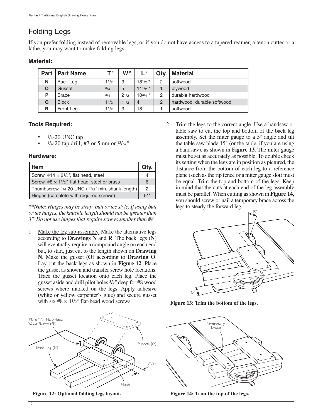## Folding Legs

If you prefer folding instead of removable legs, or if you do not have access to a tapered reamer, a tenon cutter or a lathe, you may want to make folding legs.

#### **Material:**

|   | <b>Part   Part Name</b> | T"   | W''       | $\mathsf{I}$   | Qtv.           | <b>Material</b>            |
|---|-------------------------|------|-----------|----------------|----------------|----------------------------|
| Ν | Back Leg                | 11/2 | 3         | $18^{1/2}$ *   | 2              | softwood                   |
| O | Gusset                  | 3/4  | 5         | $11^{1/2}$     |                | plywood                    |
| P | <b>Brace</b>            | 3/4  | $2^{1/2}$ | $10^{3/4}$ *   | 2              | durable hardwood           |
| Q | <b>Block</b>            | 11/2 | 11/2      | $\overline{4}$ | $\overline{2}$ | hardwood, durable softwood |
| R | Front Leg               | 11/2 | 3         | 18             |                | softwood                   |

#### **Tools Required:**

- $1/4 20$  UNC tap
- 1/4-20 tap drill; #7 or 5mm or 13/64*"*

#### **Hardware:**

| <b>Item</b>                                                           |                  |
|-----------------------------------------------------------------------|------------------|
| Screw, #14 $\times$ 2 <sup>1</sup> / <sub>2</sub> ", flat head, steel |                  |
| Screw, #8 $\times$ 11/2", flat head, steel or brass                   | 6                |
| Thumbscrew, 1/4-20 UNC (11/2" min. shank length)                      | 2                |
| Hinges (complete with required screws)                                | $\overline{z}$ * |

*\*\*Note: Hinges may be strap, butt or tee style. If using butt or tee hinges, the knuckle length should not be greater than 3". Do not use hinges that require screws smaller than #8.*

1. Make the leg sub-assembly. Make the alternative legs according to **Drawings N** and **R**. The back legs (**N**) will eventually require a compound angle on each end but, to start, just cut to the length shown on **Drawing N**. Make the gusset (**O**) according to **Drawing O**. Lay out the back legs as shown in **Figure 12**. Place the gusset as shown and transfer screw hole locations. Trace the gusset location onto each leg. Place the gusset aside and drill pilot holes 3/4*"* deep for #8 wood screws where marked on the legs. Apply adhesive (white or yellow carpenter's glue) and secure gusset with six  $#8 \times 1^{1/2}$ " flat-head wood screws.



**Figure 12: Optional folding legs layout.**

2. Trim the legs to the correct angle. Use a bandsaw or table saw to cut the top and bottom of the back leg assembly. Set the miter gauge to a 5° angle and tilt the table saw blade 15° (or the table, if you are using a bandsaw), as shown in **Figure 13**. The miter gauge must be set as accurately as possible. To double check its setting when the legs are in position as pictured, the distance from the bottom of each leg to a reference plane (such as the rip fence or a miter gauge slot) must be equal. Trim the top and bottom of the legs. Keep in mind that the cuts at each end of the leg assembly must be parallel. When cutting as shown in **Figure 14**, you should screw or nail a temporary brace across the legs to steady the forward leg.



**Figure 13: Trim the bottom of the legs.**



**Figure 14: Trim the top of the legs.**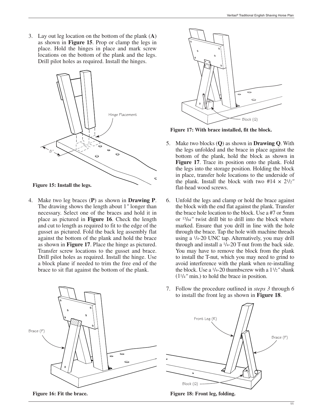3. Lay out leg location on the bottom of the plank (**A**) as shown in **Figure 15**. Prop or clamp the legs in place. Hold the hinges in place and mark screw locations on the bottom of the plank and the legs. Drill pilot holes as required. Install the hinges.



4. Make two leg braces (**P**) as shown in **Drawing P**. The drawing shows the length about 1*"* longer than necessary. Select one of the braces and hold it in place as pictured in **Figure 16**. Check the length and cut to length as required to fit to the edge of the gusset as pictured. Fold the back leg assembly flat against the bottom of the plank and hold the brace as shown in **Figure 17**. Place the hinge as pictured. Transfer screw locations to the gusset and brace. Drill pilot holes as required. Install the hinge. Use a block plane if needed to trim the free end of the brace to sit flat against the bottom of the plank.



**Figure 17: With brace installed, fit the block.**

- 5. Make two blocks (**Q**) as shown in **Drawing Q**. With the legs unfolded and the brace in place against the bottom of the plank, hold the block as shown in **Figure 17**. Trace its position onto the plank. Fold the legs into the storage position. Holding the block in place, transfer hole locations to the underside of the plank. Install the block with two  $#14 \times 2^{1/2}$ " flat-head wood screws.
- 6. Unfold the legs and clamp or hold the brace against the block with the end flat against the plank. Transfer the brace hole location to the block. Use a #7 or 5mm or 13/64*"* twist drill bit to drill into the block where marked. Ensure that you drill in line with the hole through the brace. Tap the hole with machine threads using a 1/4-20 UNC tap. Alternatively, you may drill through and install a 1/4-20 T-nut from the back side. You may have to remove the block from the plank to install the T-nut, which you may need to grind to avoid interference with the plank when re-installing the block. Use a 1/4-20 thumbscrew with a 11/2*"* shank (11/4*"* min.) to hold the brace in position.



7. Follow the procedure outlined in *steps 3* through *6* to install the front leg as shown in **Figure 18**.



**Figure 18: Front leg, folding.**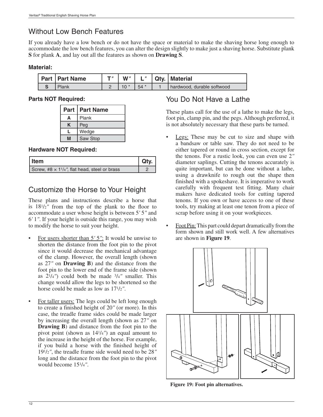## Without Low Bench Features

If you already have a low bench or do not have the space or material to make the shaving horse long enough to accommodate the low bench features, you can alter the design slightly to make just a shaving horse. Substitute plank **S** for plank **A**, and lay out all the features as shown on **Drawing S**.

#### **Material:**

| Part   Part Name | T 11 | W'' |       | Qty.   Material            |
|------------------|------|-----|-------|----------------------------|
| Plank            |      |     | $54*$ | hardwood, durable softwood |

#### **Parts NOT Required:**

| <b>Part</b> | <b>Part Name</b> |
|-------------|------------------|
| А           | Plank            |
| Κ           | Peg              |
|             | Wedge            |
| NЛ          | Saw Stop         |

#### **Hardware NOT Required:**

| Item                                                             | Qtv. |
|------------------------------------------------------------------|------|
| Screw, #8 $\times$ 1 <sup>1</sup> /4", flat head, steel or brass |      |

## Customize the Horse to Your Height

These plans and instructions describe a horse that is  $18^{1/2}$ " from the top of the plank to the floor to accommodate a user whose height is between 5*'* 5*"* and 6*'* 1*"*. If your height is outside this range, you may wish to modify the horse to suit your height.

- For users shorter than 5*'* 5*"*: It would be unwise to shorten the distance from the foot pin to the pivot since it would decrease the mechanical advantage of the clamp. However, the overall length (shown as 27*"* on **Drawing B**) and the distance from the foot pin to the lower end of the frame side (shown as  $2^{1}/4'$  could both be made  $3/4''$  smaller. This change would allow the legs to be shortened so the horse could be made as low as 171/2*"*.
- For taller users: The legs could be left long enough to create a finished height of 20*"* (or more). In this case, the treadle frame sides could be made larger by increasing the overall length (shown as 27*"* on **Drawing B**) and distance from the foot pin to the pivot point (shown as 141/4*"*) an equal amount to the increase in the height of the horse. For example, if you build a horse with the finished height of 191/2*"*, the treadle frame side would need to be 28*"* long and the distance from the foot pin to the pivot would become 151/4*"*.

## You Do Not Have a Lathe

These plans call for the use of a lathe to make the legs, foot pin, clamp pin, and the pegs. Although preferred, it is not absolutely necessary that these parts be turned.

- Legs: These may be cut to size and shape with a bandsaw or table saw. They do not need to be either tapered or round in cross section, except for the tenons. For a rustic look, you can even use 2*"* diameter saplings. Cutting the tenons accurately is quite important, but can be done without a lathe, using a drawknife to rough out the shape then finished with a spokeshave. It is imperative to work carefully with frequent test fitting. Many chair makers have dedicated tools for cutting tapered tenons. If you own or have access to one of these tools, try making at least one tenon from a piece of scrap before using it on your workpieces.
- Foot Pin: This part could depart dramatically from the form shown and still work well. A few alternatives are shown in **Figure 19**.



**Figure 19: Foot pin alternatives.**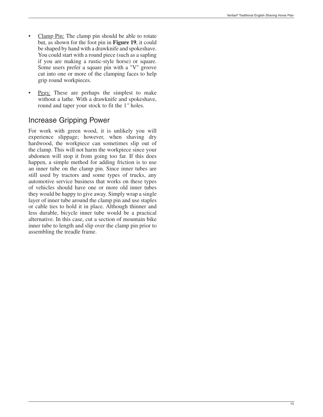- Clamp Pin: The clamp pin should be able to rotate but, as shown for the foot pin in **Figure 19**, it could be shaped by hand with a drawknife and spokeshave. You could start with a round piece (such as a sapling if you are making a rustic-style horse) or square. Some users prefer a square pin with a "V" groove cut into one or more of the clamping faces to help grip round workpieces.
- Pegs: These are perhaps the simplest to make without a lathe. With a drawknife and spokeshave, round and taper your stock to fit the 1*"* holes.

## Increase Gripping Power

For work with green wood, it is unlikely you will experience slippage; however, when shaving dry hardwood, the workpiece can sometimes slip out of the clamp. This will not harm the workpiece since your abdomen will stop it from going too far. If this does happen, a simple method for adding friction is to use an inner tube on the clamp pin. Since inner tubes are still used by tractors and some types of trucks, any automotive service business that works on these types of vehicles should have one or more old inner tubes they would be happy to give away. Simply wrap a single layer of inner tube around the clamp pin and use staples or cable ties to hold it in place. Although thinner and less durable, bicycle inner tube would be a practical alternative. In this case, cut a section of mountain bike inner tube to length and slip over the clamp pin prior to assembling the treadle frame.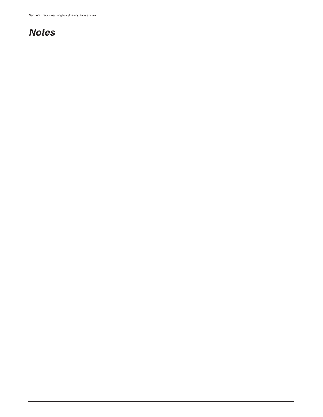# *Notes*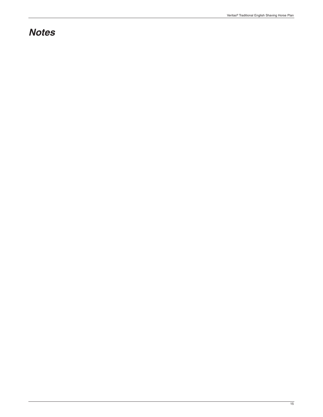# *Notes*